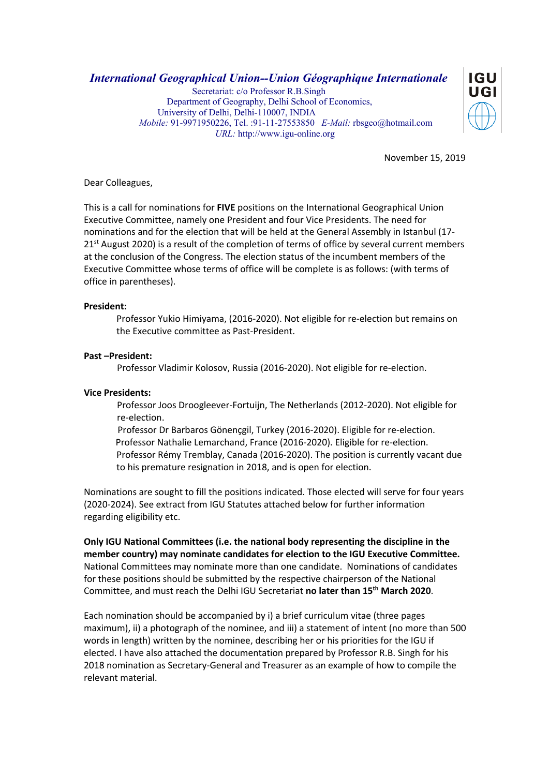*International Geographical Union--Union Géographique Internationale*

 Secretariat: c/o Professor R.B.Singh Department of Geography, Delhi School of Economics, University of Delhi, Delhi-110007, INDIA  *Mobile:* 91-9971950226, Tel. :91-11-27553850 *E-Mail:* rbsgeo@hotmail.com  *URL:* http://www.igu-online.org



November 15, 2019

Dear Colleagues,

This is a call for nominations for **FIVE** positions on the International Geographical Union Executive Committee, namely one President and four Vice Presidents. The need for nominations and for the election that will be held at the General Assembly in Istanbul (17-  $21<sup>st</sup>$  August 2020) is a result of the completion of terms of office by several current members at the conclusion of the Congress. The election status of the incumbent members of the Executive Committee whose terms of office will be complete is as follows: (with terms of office in parentheses).

## **President:**

Professor Yukio Himiyama, (2016-2020). Not eligible for re-election but remains on the Executive committee as Past-President.

## **Past –President:**

Professor Vladimir Kolosov, Russia (2016-2020). Not eligible for re-election.

## **Vice Presidents:**

Professor Joos Droogleever-Fortuijn, The Netherlands (2012-2020). Not eligible for re-election.

 Professor Dr Barbaros Gönençgil, Turkey (2016-2020). Eligible for re-election. Professor Nathalie Lemarchand, France (2016-2020). Eligible for re-election. Professor Rémy Tremblay, Canada (2016-2020). The position is currently vacant due to his premature resignation in 2018, and is open for election.

Nominations are sought to fill the positions indicated. Those elected will serve for four years (2020-2024). See extract from IGU Statutes attached below for further information regarding eligibility etc.

**Only IGU National Committees (i.e. the national body representing the discipline in the member country) may nominate candidates for election to the IGU Executive Committee.** National Committees may nominate more than one candidate. Nominations of candidates for these positions should be submitted by the respective chairperson of the National Committee, and must reach the Delhi IGU Secretariat **no later than 15th March 2020**.

Each nomination should be accompanied by i) a brief curriculum vitae (three pages maximum), ii) a photograph of the nominee, and iii) a statement of intent (no more than 500 words in length) written by the nominee, describing her or his priorities for the IGU if elected. I have also attached the documentation prepared by Professor R.B. Singh for his 2018 nomination as Secretary-General and Treasurer as an example of how to compile the relevant material.